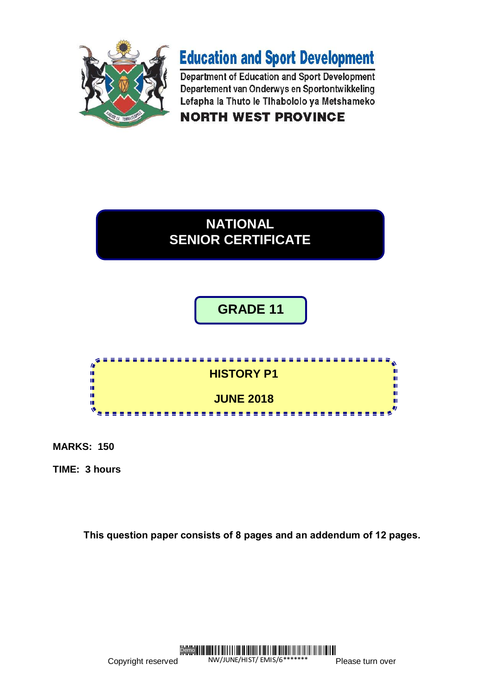

# **Education and Sport Development**

Department of Education and Sport Development Departement van Onderwys en Sportontwikkeling Lefapha la Thuto le Tihabololo ya Metshameko

**NORTH WEST PROVINCE** 



**GRADE 11**



**MARKS: 150**

**TIME: 3 hours**

**This question paper consists of 8 pages and an addendum of 12 pages.**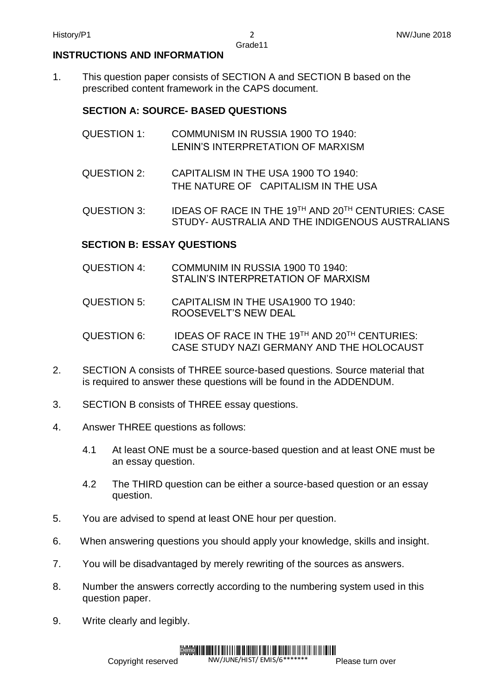# **INSTRUCTIONS AND INFORMATION**

1. This question paper consists of SECTION A and SECTION B based on the prescribed content framework in the CAPS document.

# **SECTION A: SOURCE- BASED QUESTIONS**

- QUESTION 1: COMMUNISM IN RUSSIA 1900 TO 1940: LENIN'S INTERPRETATION OF MARXISM
- QUESTION 2: CAPITALISM IN THE USA 1900 TO 1940: THE NATURE OF CAPITALISM IN THE USA
- QUESTION 3: IDEAS OF RACE IN THE 19TH AND 20TH CENTURIES: CASE STUDY- AUSTRALIA AND THE INDIGENOUS AUSTRALIANS

# **SECTION B: ESSAY QUESTIONS**

- QUESTION 4: COMMUNIM IN RUSSIA 1900 T0 1940: STALIN'S INTERPRETATION OF MARXISM
- QUESTION 5: CAPITALISM IN THE USA1900 TO 1940: ROOSEVELT'S NEW DEAL
- QUESTION 6: IDEAS OF RACE IN THE 19<sup>TH</sup> AND 20<sup>TH</sup> CENTURIES: CASE STUDY NAZI GERMANY AND THE HOLOCAUST
- 2. SECTION A consists of THREE source-based questions. Source material that is required to answer these questions will be found in the ADDENDUM.
- 3. SECTION B consists of THREE essay questions.
- 4. Answer THREE questions as follows:
	- 4.1 At least ONE must be a source-based question and at least ONE must be an essay question.
	- 4.2 The THIRD question can be either a source-based question or an essay question.
- 5. You are advised to spend at least ONE hour per question.
- 6. When answering questions you should apply your knowledge, skills and insight.
- 7. You will be disadvantaged by merely rewriting of the sources as answers.
- 8. Number the answers correctly according to the numbering system used in this question paper.
- 9. Write clearly and legibly.

#### I III KATILII ILII KUULUU KUULUU KUULUU ILII KUULUU ILII KUULUU KUULUU KUULUU KUULUU KUULUU KUULUU KUULUU KUU Demo<sup>II</sup>

NW/JUNE/HIST/ EMIS/6\*\*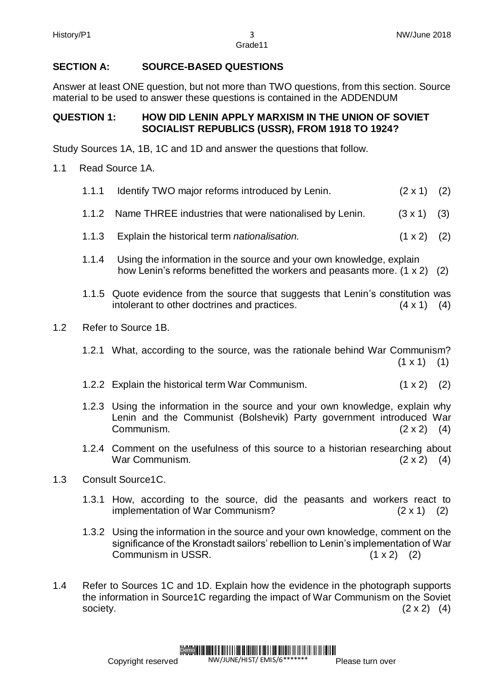# **SECTION A: SOURCE-BASED QUESTIONS**

Answer at least ONE question, but not more than TWO questions, from this section. Source material to be used to answer these questions is contained in the ADDENDUM

# **QUESTION 1: HOW DID LENIN APPLY MARXISM IN THE UNION OF SOVIET SOCIALIST REPUBLICS (USSR), FROM 1918 TO 1924?**

Study Sources 1A, 1B, 1C and 1D and answer the questions that follow.

- 1.1 Read Source 1A.
	- 1.1.1 Identify TWO major reforms introduced by Lenin. (2 x 1) (2)
	- 1.1.2 Name THREE industries that were nationalised by Lenin. (3 x 1) (3)
	- 1.1.3 Explain the historical term *nationalisation.* (1 x 2) (2)
	- 1.1.4 Using the information in the source and your own knowledge, explain how Lenin's reforms benefitted the workers and peasants more. (1 x 2) (2)
	- 1.1.5 Quote evidence from the source that suggests that Lenin's constitution was intolerant to other doctrines and practices. (4 x 1) (4)
- 1.2 Refer to Source 1B.
	- 1.2.1 What, according to the source, was the rationale behind War Communism?  $(1 \times 1)$  (1)
	- 1.2.2 Explain the historical term War Communism. (1 x 2) (2)
	- 1.2.3 Using the information in the source and your own knowledge, explain why Lenin and the Communist (Bolshevik) Party government introduced War Communism.  $(2 \times 2)$  (4)
	- 1.2.4 Comment on the usefulness of this source to a historian researching about War Communism.  $(2 \times 2)$  (4)
- 1.3 Consult Source1C.
	- 1.3.1 How, according to the source, did the peasants and workers react to implementation of War Communism? (2 x 1) (2)
	- 1.3.2 Using the information in the source and your own knowledge, comment on the significance of the Kronstadt sailors' rebellion to Lenin's implementation of War Communism in USSR. (1 x 2) (2)
- 1.4 Refer to Sources 1C and 1D. Explain how the evidence in the photograph supports the information in Source1C regarding the impact of War Communism on the Soviet society.  $(2 \times 2)$  (4)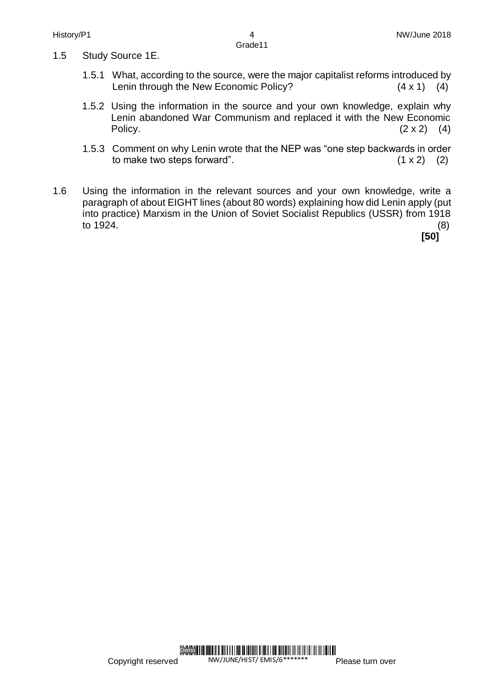- 1.5 Study Source 1E.
	- 1.5.1 What, according to the source, were the major capitalist reforms introduced by Lenin through the New Economic Policy?(4 x 1) (4)
	- 1.5.2 Using the information in the source and your own knowledge, explain why Lenin abandoned War Communism and replaced it with the New Economic Policy.  $(2 \times 2)$  (4)
	- 1.5.3 Comment on why Lenin wrote that the NEP was "one step backwards in order to make two steps forward".  $(1 \times 2)$  (2)
- 1.6 Using the information in the relevant sources and your own knowledge, write a paragraph of about EIGHT lines (about 80 words) explaining how did Lenin apply (put into practice) Marxism in the Union of Soviet Socialist Republics (USSR) from 1918 to 1924.  $\hspace{1.6cm} (8)$

**[50]**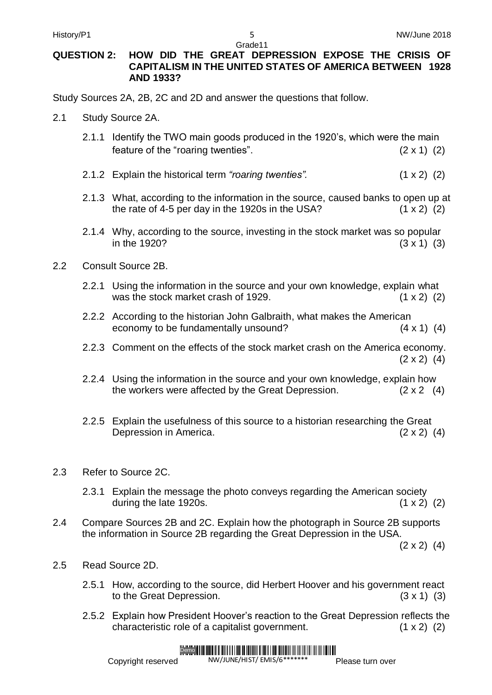#### **QUESTION 2: HOW DID THE GREAT DEPRESSION EXPOSE THE CRISIS OF CAPITALISM IN THE UNITED STATES OF AMERICA BETWEEN 1928 AND 1933?**

Study Sources 2A, 2B, 2C and 2D and answer the questions that follow.

- 2.1 Study Source 2A.
	- 2.1.1 Identify the TWO main goods produced in the 1920's, which were the main feature of the "roaring twenties".  $(2 \times 1)$  (2)
	- 2.1.2 Explain the historical term "roaring twenties". (1 x 2) (2)
	- 2.1.3 What, according to the information in the source, caused banks to open up at the rate of 4-5 per day in the 1920s in the USA?  $(1 \times 2)$  (2)
	- 2.1.4 Why, according to the source, investing in the stock market was so popular in the 1920? (3 x 1) (3)
- 2.2 Consult Source 2B.
	- 2.2.1 Using the information in the source and your own knowledge, explain what was the stock market crash of 1929.  $(1 \times 2)$  (2)
	- 2.2.2 According to the historian John Galbraith, what makes the American economy to be fundamentally unsound? (4 x 1) (4)
	- 2.2.3 Comment on the effects of the stock market crash on the America economy.  $(2 \times 2)$  (4)
	- 2.2.4 Using the information in the source and your own knowledge, explain how the workers were affected by the Great Depression.  $(2 \times 2 \quad (4))$
	- 2.2.5 Explain the usefulness of this source to a historian researching the Great Depression in America. (2 x 2) (4)
- 2.3 Refer to Source 2C.
	- 2.3.1 Explain the message the photo conveys regarding the American society during the late 1920s.  $(1 \times 2)$  (2)
- 2.4 Compare Sources 2B and 2C. Explain how the photograph in Source 2B supports the information in Source 2B regarding the Great Depression in the USA.

 $(2 \times 2)$   $(4)$ 

- 2.5 Read Source 2D.
	- 2.5.1 How, according to the source, did Herbert Hoover and his government react to the Great Depression. (3 x 1) (3)
	- 2.5.2 Explain how President Hoover's reaction to the Great Depression reflects the characteristic role of a capitalist government. (1 x 2) (2)

#### Demo

Copyright reserved

NW/JUNE/HIST/ EMIS/6\*\*

Please turn over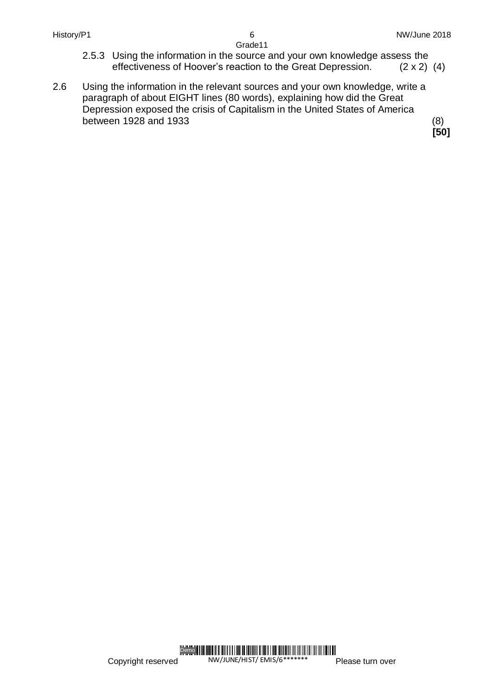- 2.5.3 Using the information in the source and your own knowledge assess the effectiveness of Hoover's reaction to the Great Depression. (2 x 2) (4)
- 2.6 Using the information in the relevant sources and your own knowledge, write a paragraph of about EIGHT lines (80 words), explaining how did the Great Depression exposed the crisis of Capitalism in the United States of America between 1928 and 1933 (8)

 **[50]**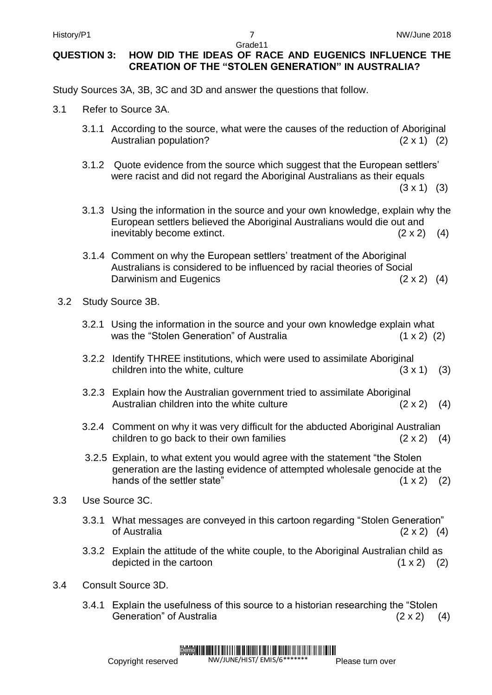# **QUESTION 3: HOW DID THE IDEAS OF RACE AND EUGENICS INFLUENCE THE CREATION OF THE "STOLEN GENERATION" IN AUSTRALIA?**

Study Sources 3A, 3B, 3C and 3D and answer the questions that follow.

- 3.1 Refer to Source 3A.
	- 3.1.1 According to the source, what were the causes of the reduction of Aboriginal Australian population? (2 x 1) (2)
	- 3.1.2 Quote evidence from the source which suggest that the European settlers' were racist and did not regard the Aboriginal Australians as their equals

 $(3 \times 1)$   $(3)$ 

- 3.1.3 Using the information in the source and your own knowledge, explain why the European settlers believed the Aboriginal Australians would die out and inevitably become extinct.  $(2 \times 2)$  (4)
- 3.1.4 Comment on why the European settlers' treatment of the Aboriginal Australians is considered to be influenced by racial theories of Social Darwinism and Eugenics (2 x 2) (4)
- 3.2 Study Source 3B.
	- 3.2.1 Using the information in the source and your own knowledge explain what was the "Stolen Generation" of Australia (1 x 2) (2)
	- 3.2.2 Identify THREE institutions, which were used to assimilate Aboriginal children into the white, culture  $(3 \times 1)$  (3)
	- 3.2.3 Explain how the Australian government tried to assimilate Aboriginal Australian children into the white culture  $(2 \times 2)$  (4)
	- 3.2.4 Comment on why it was very difficult for the abducted Aboriginal Australian children to go back to their own families  $(2 \times 2)$  (4)
	- 3.2.5 Explain, to what extent you would agree with the statement "the Stolen generation are the lasting evidence of attempted wholesale genocide at the hands of the settler state"  $(1 \times 2)$  (2)
- 3.3 Use Source 3C.
	- 3.3.1 What messages are conveyed in this cartoon regarding "Stolen Generation" of Australia(2 x 2) (4)
	- 3.3.2 Explain the attitude of the white couple, to the Aboriginal Australian child as depicted in the cartoon  $(1 \times 2)$  (2)
- 3.4 Consult Source 3D.
	- 3.4.1 Explain the usefulness of this source to a historian researching the "Stolen Generation" of Australia (2 x 2) (4)